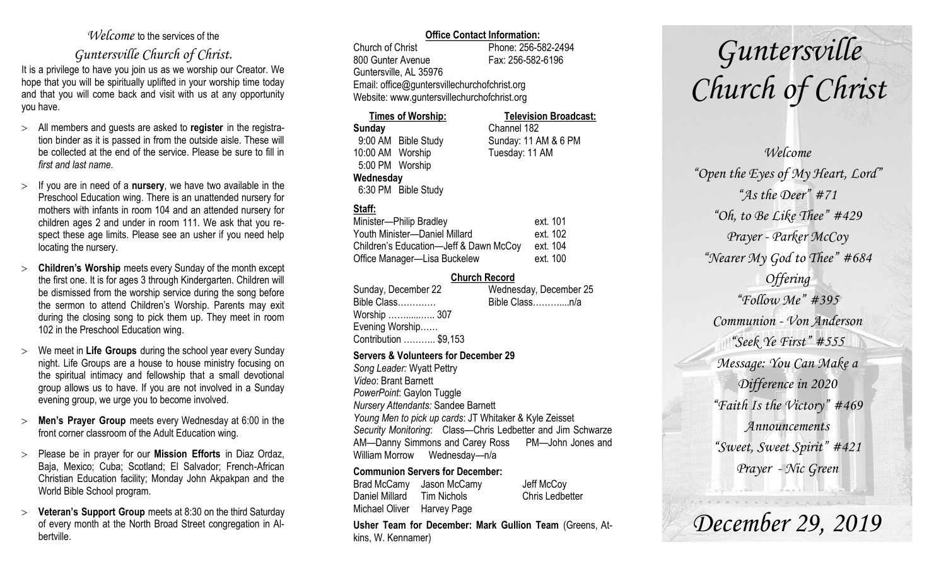#### *Welcome* to the services of the

### *Guntersville Church of Christ*.

It is a privilege to have you join us as we worship our Creator. We hope that you will be spiritually uplifted in your worship time today and that you will come back and visit with us at any opportunity you have.

- All members and guests are asked to **register** in the registration binder as it is passed in from the outside aisle. These will be collected at the end of the service. Please be sure to fill in *first and last name*.
- $\geq$  If you are in need of a **nursery**, we have two available in the Preschool Education wing. There is an unattended nursery for mothers with infants in room 104 and an attended nursery for children ages 2 and under in room 111. We ask that you respect these age limits. Please see an usher if you need help locating the nursery.
- **Children's Worship** meets every Sunday of the month except the first one. It is for ages 3 through Kindergarten. Children will be dismissed from the worship service during the song before the sermon to attend Children's Worship. Parents may exit during the closing song to pick them up. They meet in room 102 in the Preschool Education wing.
- We meet in **Life Groups** during the school year every Sunday night. Life Groups are a house to house ministry focusing on the spiritual intimacy and fellowship that a small devotional group allows us to have. If you are not involved in a Sunday evening group, we urge you to become involved.
- **Men's Prayer Group** meets every Wednesday at 6:00 in the front corner classroom of the Adult Education wing.
- Please be in prayer for our **Mission Efforts** in Diaz Ordaz, Baja, Mexico; Cuba; Scotland; El Salvador; French-African Christian Education facility; Monday John Akpakpan and the World Bible School program.
- **Veteran's Support Group** meets at 8:30 on the third Saturday of every month at the North Broad Street congregation in Albertville.

#### **Office Contact Information:**

Church of Christ Phone: 256-582-2494 800 Gunter Avenue Fax: 256-582-6196 Guntersville, AL 35976 Email: office@guntersvillechurchofchrist.org Website: www.guntersvillechurchofchrist.org

#### **Times of Worship: Television Broadcast: Sunday** Channel 182

9:00 AM Bible Study Sunday: 11 AM & 6 PM 10:00 AM Worship Tuesday: 11 AM 5:00 PM Worship **Wednesday** 6:30 PM Bible Study

#### **Staff:**

| Minister-Philip Bradley                | ext. 101 |
|----------------------------------------|----------|
| Youth Minister-Daniel Millard          | ext. 102 |
| Children's Education-Jeff & Dawn McCoy | ext. 104 |
| Office Manager-Lisa Buckelew           | ext. 100 |

#### **Church Record**

| Sunday, December 22   | Wednesday, December 25 |
|-----------------------|------------------------|
| Bible Class           | Bible Classn/a         |
| Worship  307          |                        |
| Evening Worship       |                        |
| Contribution  \$9,153 |                        |
|                       |                        |

#### **Servers & Volunteers for December 29**

*Song Leader:* Wyatt Pettry *Video*: Brant Barnett *PowerPoint*: Gaylon Tuggle *Nursery Attendants:* Sandee Barnett *Young Men to pick up cards*: JT Whitaker & Kyle Zeisset *Security Monitoring*: Class—Chris Ledbetter and Jim Schwarze AM—Danny Simmons and Carey Ross PM—John Jones and William Morrow Wednesday—n/a

#### **Communion Servers for December:**

Brad McCamy Jason McCamy Jeff McCoy Daniel Millard Tim Nichols Chris Ledbetter Michael Oliver Harvey Page

**Usher Team for December: Mark Gullion Team** (Greens, Atkins, W. Kennamer)

# *Guntersville Church of Christ*

*Welcome "Open the Eyes of My Heart, Lord" "As the Deer" #71 "Oh, to Be Like Thee" #429 Prayer - Parker McCoy "Nearer My God to Thee" #684 Offering "Follow Me" #395 Communion - Von Anderson "Seek Ye First" #555 Message: You Can Make a Difference in 2020 "Faith Is the Victory" #469 Announcements "Sweet, Sweet Spirit" #421 Prayer - Nic Green*

*December 29, 2019*